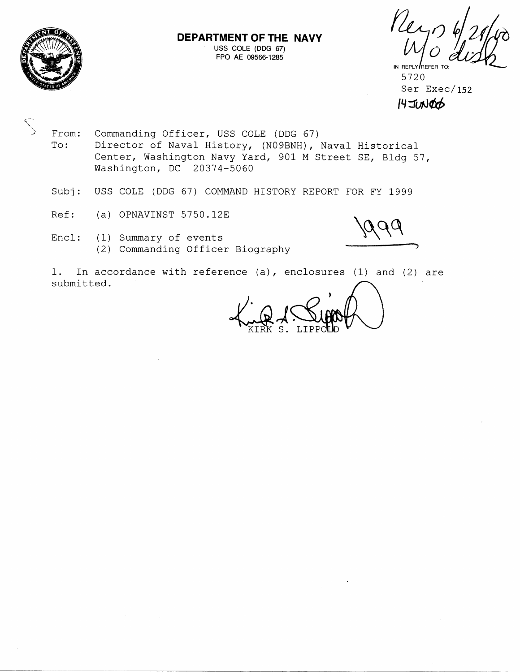

 $\mathcal{N}_{\mathcal{A}}$ 

# **DEPARTMENT OF THE NAVY**  USS COLE (DDG **67)**

FOR AE OPS FINE NAVY<br>
JUSS COLE (DDG 67)<br>FPO AE 09566-1285

5720 Ser Exec/ 152  $14$  JUNOO

From: Commanding Officer, USS COLE (DDG 67)<br>To: Director of Naval History, (N09BNH), Director of Naval History, (NO9BNH), Naval Historical Center, Washington Navy Yard, 901 M Street SE, Bldg 57, Washington, DC 20374-5060

- Subj: USS COLE (DDG 67) COMMAND HISTORY REPORT FOR FY 1999
- Ref: (a) OPNAVINST 5750.12E
- Encl: (1) Summary of events (2) Commanding Officer Biography

 $O($ 

1. In accordance with reference (a), enclosures (1) and (2) are submitted.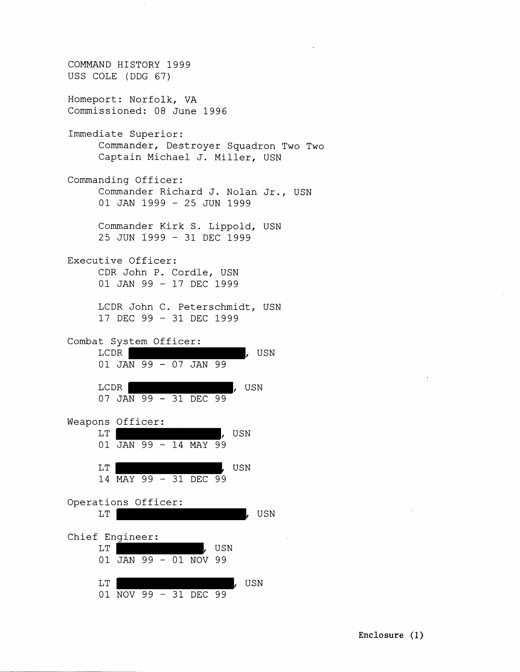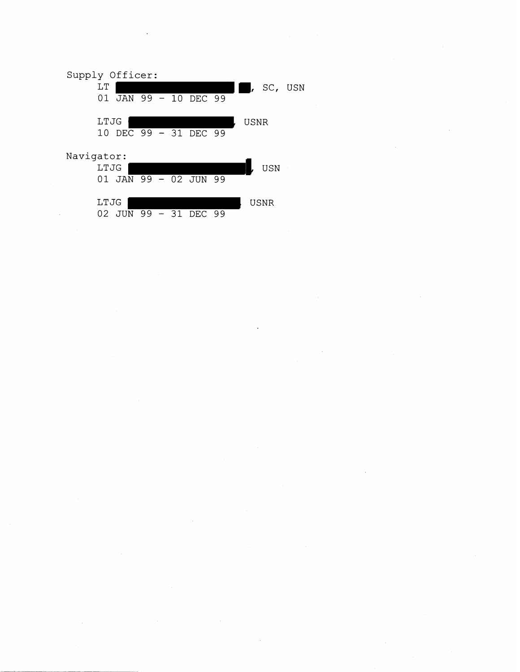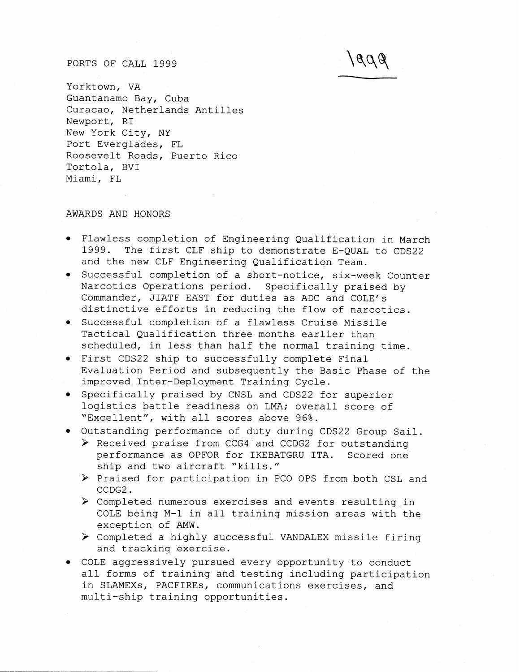## PORTS OF CALL 1999

Yorktown, VA Guantanamo Bay, Cuba Curacao, Netherlands Antilles Newport, RI New York City, NY Port Everglades, FL Roosevelt Roads, Puerto Rico Tortola, BVI Miami, FL

# AWARDS AND HONORS

Flawless completion of Engineering Qualification in March 1999. The first CLF ship to demonstrate E-QUAL to CDS22 and the new CLF Engineering Qualification Team.

1608

- Successful completion of a short-notice, six-week Counter Narcotics Operations period. Specifically praised by Commander, JIATF EAST for duties as ADC and COLE'S distinctive efforts in reducing the flow of narcotics.
- Successful completion of a flawless Cruise Missile Tactical Qualification three months earlier than scheduled, in less than half the normal training time.
- First CDS22 ship to successfully complete Final Evaluation Period and subsequently the Basic Phase of the improved Inter-Deployment Training Cycle.
- Specifically praised by CNSL and CDS22 for superior logistics battle readiness on LMA; overall score of "Excellent", with all scores above 96%.
- Outstanding performance of duty during CDS22 Group Sail.
	- > Received praise from CCG4 and CCDG2 for outstanding performance as OPFOR for IKEBATGRU ITA. Scored one ship and two aircraft "kills."
	- > Praised for participation in PCO OPS from both CSL and CCDG2.
	- > Completed numerous exercises and events resulting in COLE being M-1 in all training mission areas with the exception of AMW.
	- > Completed a highly successful VANDALEX missile firing and tracking exercise.
- COLE aggressively pursued every opportunity to conduct all forms of training and testing including participation in SLAMEXs, PACFIREs, communications exercises, and multi-ship training opportunities.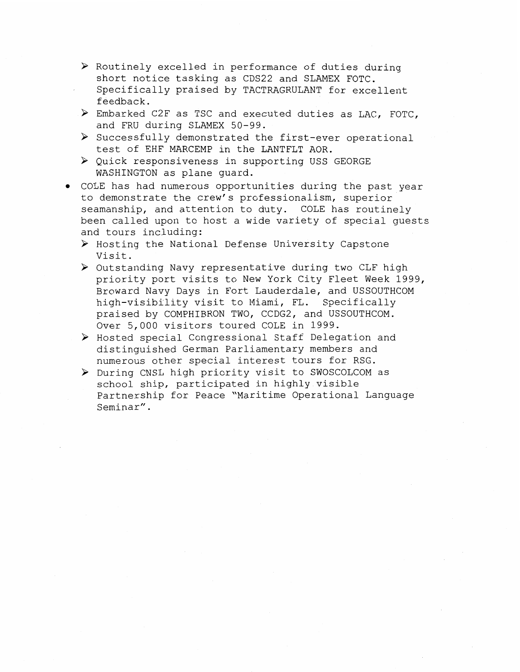- > Routinely excelled in performance of duties during short notice tasking as CDS22 and SLAMEX FOTC. Specifically praised by TACTRAGRULANT for excellent feedback.
- > Embarked C2F as TSC and executed duties as LAC, FOTC, and FRU during SLAMEX 50-99.
- > Successfully demonstrated the first-ever operational test of EHF MARCEMP in the LANTFLT AOR.
- > Quick responsiveness in supporting USS GEORGE WASHINGTON as plane guard.
- COLE has had numerous opportunities during the past year to demonstrate the crew's professionalism, superior seamanship, and attention to duty. COLE has routinely been called upon to host a wide variety of special guests and tours including:
	- > Hosting the National Defense University Capstone Visit.
	- > Outstanding Navy representative during two CLF high priority port visits to New York City Fleet Week 1999, Broward Navy Days in Fort Lauderdale, and USSOUTHCOM high-visibility visit to Miami, FL. Specifically praised by COMPHIBRON TWO, CCDG2, and USSOUTHCOM. Over 5,000 visitors toured COLE in 1999.
	- > Hosted special Congressional Staff Delegation and distinguished German Parliamentary members and numerous other special interest tours for RSG.
	- > During CNSL high priority visit to SWOSCOLCOM as school ship, participated in highly visible Partnership for Peace "Maritime Operational Language Seminar".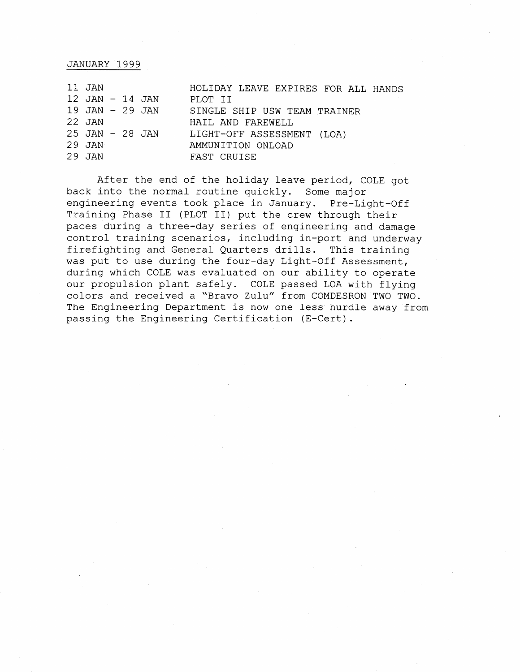## JANUARY 1999

| 11 JAN              | HOLIDAY LEAVE EXPIRES FOR ALL HANDS |
|---------------------|-------------------------------------|
| $12$ JAN $-$ 14 JAN | PLOT II                             |
| $19$ JAN $-$ 29 JAN | SINGLE SHIP USW TEAM TRAINER        |
| 22 JAN              | HAIL AND FAREWELL                   |
| $25$ JAN $-$ 28 JAN | LIGHT-OFF ASSESSMENT (LOA)          |
| 29 JAN              | AMMUNITION ONLOAD                   |
| 29 JAN              | FAST CRUISE                         |

After the end of the holiday leave period, COLE got back into the normal routine quickly. Some major engineering events took place in January. Pre-Light-Off Training Phase I1 (PLOT 11) put the crew through their paces during a three-day series of engineering and damage control training scenarios, including in-port and underway firefighting and General Quarters drills. This training was put to use during the four-day Light-Off Assessment, during which COLE was evaluated on our ability to operate our propulsion plant safely. COLE passed LOA with flying colors and received a "Bravo Zulu" from COMDESRON TWO TWO. The Engineering Department is now one less hurdle away from passing the Engineering Certification (E-Cert).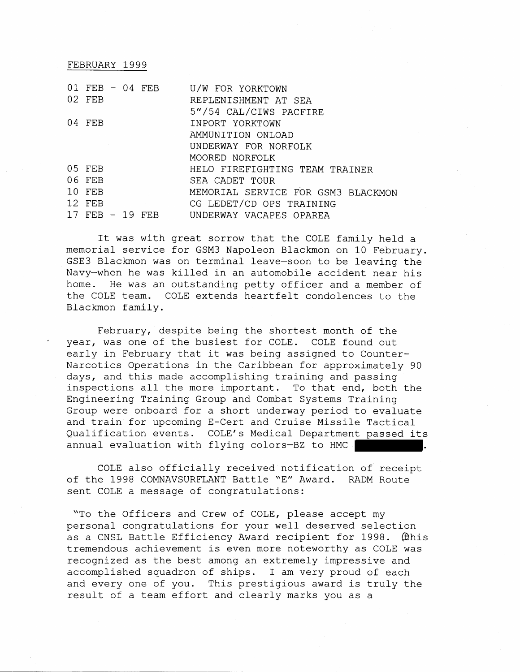#### FEBRUARY 1999

| 01 | $FEB - 04$ $FEB$<br>02 FEB                    |      |      | U/W FOR YORKTOWN<br>REPLENISHMENT AT SEA<br>5"/54 CAL/CIWS PACFIRE                                                                                              |
|----|-----------------------------------------------|------|------|-----------------------------------------------------------------------------------------------------------------------------------------------------------------|
|    | 04 FEB                                        |      |      | INPORT YORKTOWN<br>AMMUNITION ONLOAD<br>UNDERWAY FOR NORFOLK                                                                                                    |
| 17 | 05 FEB<br>06 FEB<br>10 FEB<br>$12$ FEB<br>FFB | - 19 | FEB. | MOORED NORFOLK<br>HELO FIREFIGHTING TEAM TRAINER<br>SEA CADET TOUR<br>MEMORIAL SERVICE FOR GSM3 BLACKMON<br>CG LEDET/CD OPS TRAINING<br>UNDERWAY VACAPES OPAREA |

It was with great sorrow that the COLE family held a memorial service for GSM3 Napoleon Blackmon on 10 February. GSE3 Blackmon was on terminal leave-soon to be leaving the Navy-when he was killed in an automobile accident near his home. He was an outstanding petty officer and a member of the COLE team. COLE extends heartfelt condolences to the Blackmon family.

February, despite being the shortest month of the year, was one of the busiest for COLE. COLE found out early in February that it was being assigned to Counter-Narcotics Operations in the Caribbean for approximately 90 days, and this made accomplishing training and passing inspections all the more important. To that end, both the Engineering Training Group and Combat Systems Training Group were onboard for a short underway period to evaluate and train for upcoming E-Cert and Cruise Missile Tactical Qualification events. COLE'S Medical Department passed its annual evaluation with flying colors-BZ to HMC

COLE also officially received notification of receipt of the 1998 COMNAVSURFLANT Battle "E" Award. RADM Route sent COLE a message of congratulations:

"To the Officers and Crew of COLE, please accept my personal congratulations for your well deserved selection as a CNSL Battle Efficiency Award recipient for 1998. @his tremendous achievement is even more noteworthy as COLE was recognized as the best among an extremely impressive and accomplished squadron of ships. I am very proud of each and every one of you. This prestigious award is truly the result of a team effort and clearly marks you as a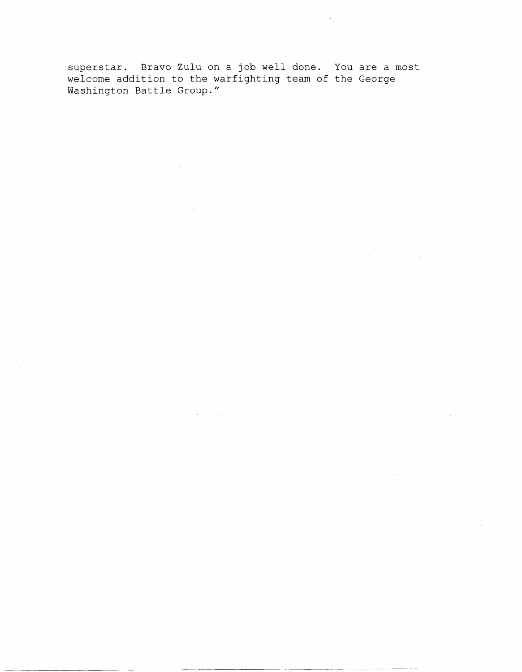superstar. Bravo Zulu on a job well done. You are a most welcome addition to the warfighting team of the George Washington Battle Group."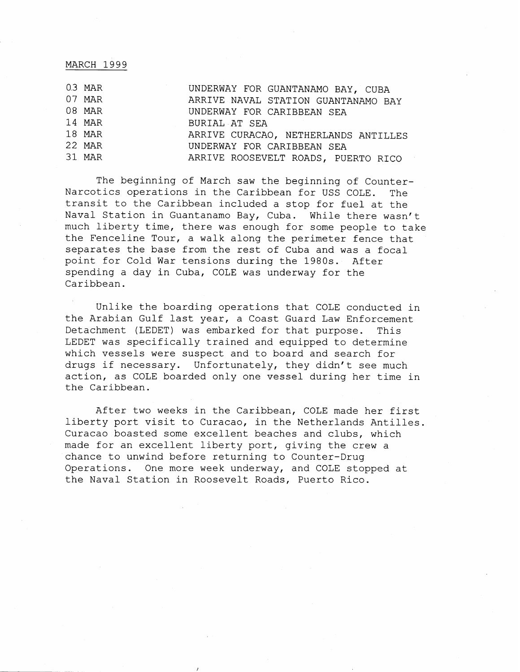## MARCH 1999

| $0.3$ MAR | UNDERWAY FOR GUANTANAMO BAY, CUBA    |
|-----------|--------------------------------------|
| 07 MAR    | ARRIVE NAVAL STATION GUANTANAMO BAY  |
| 08 MAR    | UNDERWAY FOR CARIBBEAN SEA           |
| 14 MAR    | BURIAL AT SEA                        |
| 18 MAR    | ARRIVE CURACAO, NETHERLANDS ANTILLES |
| 22 MAR    | UNDERWAY FOR CARIBBEAN SEA           |
| 31 MAR    | ARRIVE ROOSEVELT ROADS, PUERTO RICO  |

The beginning of March saw the beginning of Counter-Narcotics operations in the Caribbean for USS COLE. The transit to the Caribbean included a stop for fuel at the Naval Station in Guantanamo Bay, Cuba. While there wasn't much liberty time, there was enough for some people to take the Fenceline Tour, a walk along the perimeter fence that separates the base from the rest of Cuba and was a focal point for Cold War tensions during the 1980s. After spending a day in Cuba, COLE was underway for the Caribbean.

Unlike the boarding operations that COLE conducted in the Arabian Gulf last year, a Coast Guard Law Enforcement Detachment (LEDET) was embarked for that purpose. This LEDET was specifically trained and equipped to determine which vessels were suspect and to board and search for drugs if necessary. Unfortunately, they didn't see much action, as COLE boarded only one vessel during her time in the Caribbean.

After two weeks in the Caribbean, COLE made her first liberty port visit to Curacao, in the Netherlands Antilles. Curacao boasted some excellent beaches and clubs, which made for an excellent liberty port, giving the crew a chance to unwind before returning to Counter-Drug Operations. One more week underway, and COLE stopped at the Naval Station in Roosevelt Roads, Puerto Rico.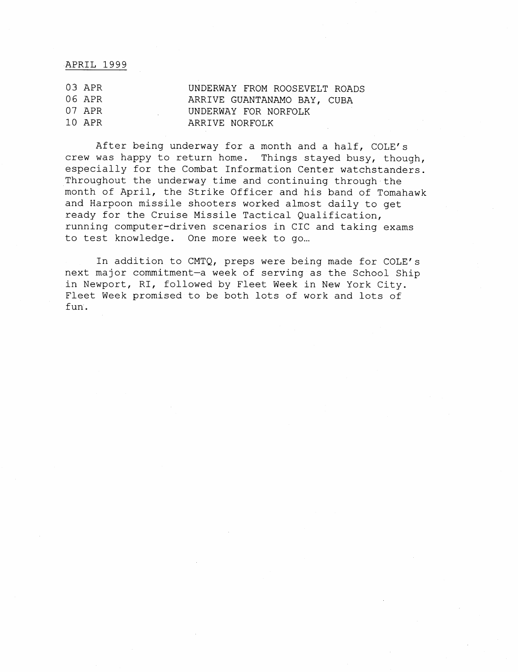## APRIL 1999

| 03 APR | UNDERWAY FROM ROOSEVELT ROADS |
|--------|-------------------------------|
| 06 APR | ARRIVE GUANTANAMO BAY, CUBA   |
| 07 APR | UNDERWAY FOR NORFOLK          |
| 10 APR | ARRIVE NORFOLK                |

After being underway for a month and a half, COLE'S crew was happy to return home. Things stayed busy, though, especially for the Combat Information Center watchstanders. Throughout the underway time and continuing through the month of April, the Strike Officer and his band of Tomahawk and Harpoon missile shooters worked almost daily to get ready for the Cruise Missile Tactical Qualification, running computer-driven scenarios in CIC and taking exams to test knowledge. One more week to go ...

In addition to CMTQ, preps were being made for COLE'S next major commitment-a week of serving as the School Ship in Newport, RI, followed by Fleet Week in New York City. Fleet Week promised to be both lots of work and lots of fun.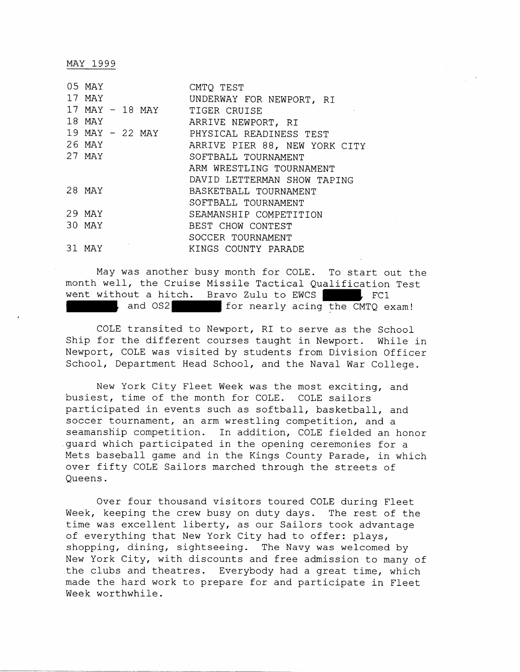MAY 1999

| 05 MAY |  |                 | CMTO TEST                     |
|--------|--|-----------------|-------------------------------|
| 17 MAY |  |                 | UNDERWAY FOR NEWPORT, RI      |
|        |  | 17 MAY - 18 MAY | TIGER CRUISE                  |
| 18 MAY |  |                 | ARRIVE NEWPORT, RI            |
|        |  | 19 MAY - 22 MAY | PHYSICAL READINESS TEST       |
| 26 MAY |  |                 | ARRIVE PIER 88, NEW YORK CITY |
| 27 MAY |  |                 | SOFTBALL TOURNAMENT           |
|        |  |                 | ARM WRESTLING TOURNAMENT      |
|        |  |                 | DAVID LETTERMAN SHOW TAPING   |
| 28 MAY |  |                 | BASKETBALL TOURNAMENT         |
|        |  |                 | SOFTBALL TOURNAMENT           |
| 29 MAY |  |                 | SEAMANSHIP COMPETITION        |
| 30 MAY |  |                 | BEST CHOW CONTEST             |
|        |  |                 | SOCCER TOURNAMENT             |
| 31 MAY |  |                 | KINGS COUNTY PARADE           |

May was another busy month for COLE. To start out the month well, the Cruise Missile Tactical Qualification Test went without a hitch. Bravo Zulu to EWCS , FC1 and OS2 for nearly acing the CMTQ exam!

COLE transited to Newport, RI to serve as the School Ship for the different courses taught in Newport. While in Newport, COLE was visited by students from Division Officer School, Department Head School, and the Naval War College.

New York City Fleet Week was the most exciting, and busiest, time of the month for COLE. COLE sailors participated in events such as softball, basketball, and soccer tournament, an arm wrestling competition, and a seamanship competition. In addition, COLE fielded an honor guard which participated in the opening ceremonies for a Mets baseball game and in the Kings County Parade, in which over fifty COLE Sailors marched through the streets of Queens.

Over four thousand visitors toured COLE during Fleet Week, keeping the crew busy on duty days. The rest of the time was excellent liberty, as our Sailors took advantage of everything that New York City had to offer: plays, shopping, dining, sightseeing. The Navy was welcomed by New York City, with discounts and free admission to many of the clubs and theatres. Everybody had a great time, which made the hard work to prepare for and participate in Fleet Week worthwhile.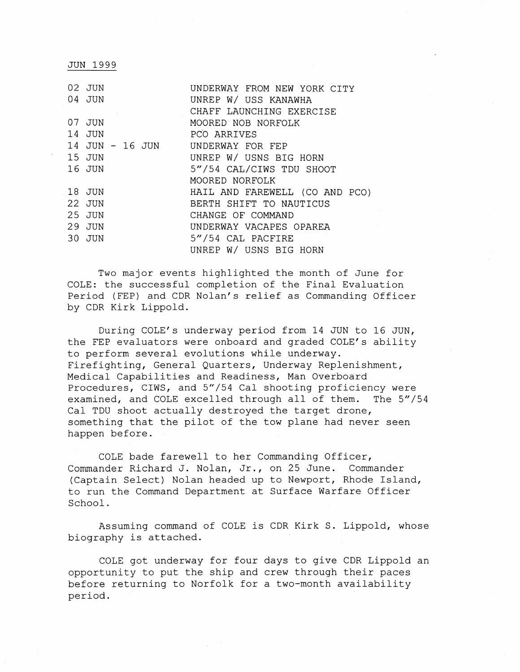| 02 JUN                             | UNDERWAY FROM NEW YORK CITY    |
|------------------------------------|--------------------------------|
| 04 JUN                             | UNREP W/ USS KANAWHA           |
|                                    | CHAFF LAUNCHING EXERCISE       |
| 07 JUN                             | MOORED NOB NORFOLK             |
| 14 JUN                             | PCO ARRIVES                    |
| 14 JUN - 16 JUN UNDERWAY FOR FEP   |                                |
| 15 JUN                             | UNREP W/ USNS BIG HORN         |
| 16 JUN                             | 5"/54 CAL/CIWS TDU SHOOT       |
|                                    | MOORED NORFOLK                 |
| 18 JUN                             | HAIL AND FAREWELL (CO AND PCO) |
| 22 JUN<br><b>Contract Contract</b> | BERTH SHIFT TO NAUTICUS        |
| 25 JUN                             | CHANGE OF COMMAND              |
| 29 JUN                             | UNDERWAY VACAPES OPAREA        |
| 30 JUN                             | 5"/54 CAL PACFIRE              |
|                                    | UNREP W/ USNS BIG HORN         |

JUN 1999

Two major events highlighted the month of June for COLE: the successful completion of the Final Evaluation Period (FEP) and CDR Nolan's relief as Commanding Officer by CDR Kirk Lippold.

During COLE's underway period from 14 JUN to 16 JUN, the FEP evaluators were onboard and graded COLE'S ability to perform several evolutions while underway. Firefighting, General Quarters, Underway Replenishment, Medical Capabilities and Readiness, Man Overboard Procedures, CIWS, and 5"/54 Cal shooting proficiency were examined, and COLE excelled through all of them. The 5"/54 Cal TDU shoot actually destroyed the target drone, something that the pilot of the tow plane had never seen happen before.

COLE bade farewell to her Commanding Officer, Commander Richard J. Nolan, Jr., on 25 June. Commander (Captain Select) Nolan headed up to Newport, Rhode Island, to run the Command Department at Surface Warfare Officer School.

Assuming command of COLE is CDR Kirk S. Lippold, whose biography is attached.

COLE got underway for four days to give CDR Lippold an opportunity to put the ship and crew through their paces before returning to Norfolk for a two-month availability period.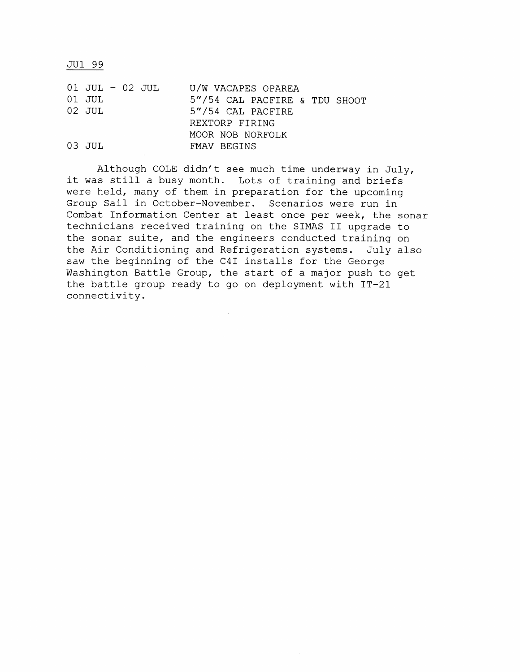JU1 99

| 01 JUL - 02 JUL<br>01 JUL<br>02 JUL |  | U/W VACAPES OPAREA<br>5"/54 CAL PACFIRE & TDU SHOOT<br>5"/54 CAL PACFIRE<br>REXTORP FIRING |
|-------------------------------------|--|--------------------------------------------------------------------------------------------|
| 03 JUL                              |  | MOOR NOB NORFOLK<br>FMAV BEGINS                                                            |

Although COLE didn't see much time underway in July, it was still a busy month. Lots of training and briefs were held, many of them in preparation for the upcoming Group Sail in October-November. Scenarios were run in Combat Information Center at least once per week, the sonar technicians received training on the SIMAS I1 upgrade to the sonar suite, and the engineers conducted training on the Air Conditioning and Refrigeration systems. July also saw the beginning of the C41 installs for the George Washington Battle Group, the start of a major push to get the battle group ready to go on deployment with IT-21 connectivity.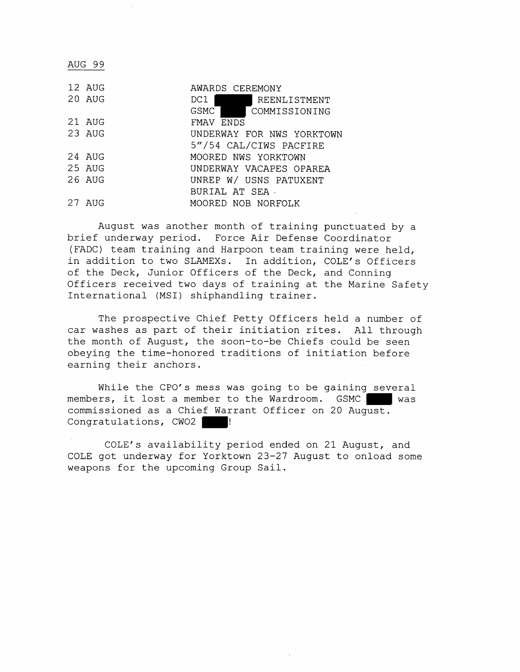AUG 99

| 12 AUG   | AWARDS CEREMONY           |
|----------|---------------------------|
| 20 AUG   | DC1  <br>REENLISTMENT     |
|          | GSMC<br>COMMISSIONING     |
| 21 AUG   | FMAV ENDS                 |
| 23 AUG   | UNDERWAY FOR NWS YORKTOWN |
|          | 5"/54 CAL/CIWS PACFIRE    |
| 24 AUG   | MOORED NWS YORKTOWN       |
| 25 AUG   | UNDERWAY VACAPES OPAREA   |
| $26$ AUG | UNREP W/ USNS PATUXENT    |
|          | BURIAL AT SEA.            |
| 27 AUG   | MOORED NOB NORFOLK        |
|          |                           |

August was another month of training punctuated by a brief underway period. Force Air Defense Coordinator (FADC) team training and Harpoon team training were held, in addition to two SLAMEXs. In addition, COLE'S Officers of the Deck, Junior Officers of the Deck, and Conning Officers received two days of training at the Marine Safety International (MSI) shiphandling trainer.

The prospective Chief Petty Officers held a number of car washes as part of their initiation rites. All through the month of August, the soon-to-be Chiefs could be seen obeying the time-honored traditions of initiation before earning their anchors.

While the CPO's mess was going to be gaining several members, it lost a member to the Wardroom. GSMC commissioned as a Chief Warrant Officer on 20 August. Congratulations, CWO2 |

COLE'S availability period ended on 21 August, and COLE got underway for Yorktown 23-27 August to onload some weapons for the upcoming Group Sail.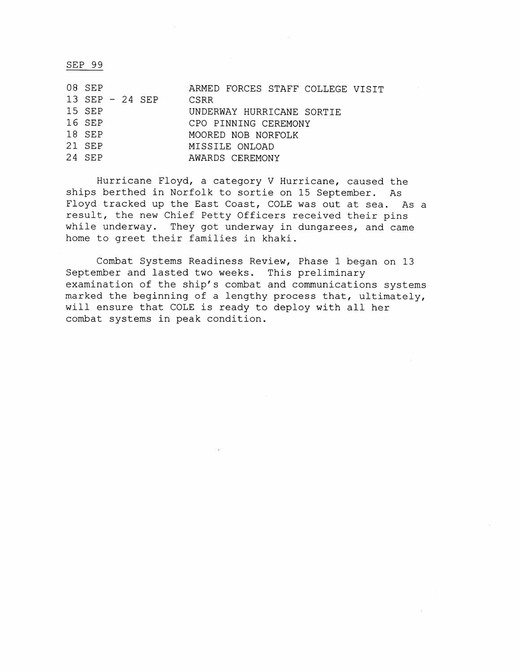SEP 99

| 08 SEP           | ARMED FORCES STAFF COLLEGE VISIT |
|------------------|----------------------------------|
| 13 SEP $-24$ SEP | <b>CSRR</b>                      |
| 15 SEP           | UNDERWAY HURRICANE SORTIE        |
| 16 SFP           | CPO PINNING CEREMONY             |
| 18 SEP           | MOORED NOB NORFOLK               |
| 21 SEP           | MISSILE ONLOAD                   |
| 24 SEP           | AWARDS CEREMONY                  |

Hurricane Floyd, a category V Hurricane, caused the ships berthed in Norfolk to sortie on 15 September. As Floyd tracked up the East Coast, COLE was out at sea. As a result, the new Chief Petty Officers received their pins while underway. They got underway in dungarees, and came home to greet their families in khaki.

Combat Systems Readiness Review, Phase 1 began on 13 September and lasted two weeks. This preliminary examination of the ship's combat and communications systems marked the beginning of a lengthy process that, ultimately, will ensure that COLE is ready to deploy with all her combat systems in peak condition.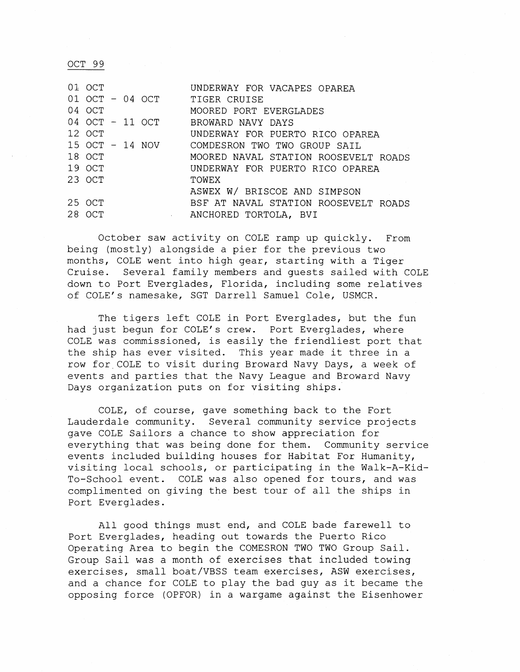OCT 99

| $01$ OCT        |                                                                                     | UNDERWAY FOR VACAPES OPAREA          |
|-----------------|-------------------------------------------------------------------------------------|--------------------------------------|
|                 |                                                                                     | 01 OCT - 04 OCT TIGER CRUISE         |
| 04 OCT          |                                                                                     | MOORED PORT EVERGLADES               |
| 04 OCT - 11 OCT |                                                                                     | BROWARD NAVY DAYS                    |
| 12 OCT          |                                                                                     | UNDERWAY FOR PUERTO RICO OPAREA      |
| 15 OCT - 14 NOV |                                                                                     | COMDESRON TWO TWO GROUP SATI         |
| 18 OCT          |                                                                                     | MOORED NAVAL STATION ROOSEVELT ROADS |
| 19 OCT          |                                                                                     | UNDERWAY FOR PUERTO RICO OPAREA      |
| 23 OCT          |                                                                                     | TOWEX                                |
|                 |                                                                                     | ASWEX W/ BRISCOE AND SIMPSON         |
| 25 OCT          |                                                                                     | BSF AT NAVAL STATION ROOSEVELT ROADS |
| 28 OCT          | $\mathcal{L}^{\text{max}}_{\text{max}}$ and $\mathcal{L}^{\text{max}}_{\text{max}}$ | ANCHORED TORTOLA, BVI                |

October saw activity on COLE ramp up quickly. From being (mostly) alongside a pier for the previous two months, COLE went into high gear, starting with a Tiger Cruise. Several family members and guests sailed with COLE down to Port Everglades, Florida, including some relatives of COLE's namesake, SGT Darrell Samuel Cole, USMCR.

The tigers left COLE in Port Everglades, but the fun had just begun for COLE's crew. Port Everglades, where COLE was commissioned, is easily the friendliest port that the ship has ever visited. This year made it three in a row for.COLE to visit during Broward Navy Days, a week of events and parties that the Navy League and Broward Navy Days organization puts on for visiting ships.

COLE, of course, gave something back to the Fort Lauderdale community. Several community service projects gave COLE Sailors a chance to show appreciation for everything that was being done for them. Community service events included building houses for Habitat For Humanity, visiting local schools, or participating in the Walk-A-Kid-To-School event. COLE was also opened for tours, and was complimented on giving the best tour of all the ships in Port Everglades.

All good things must end, and COLE bade farewell to Port Everglades, heading out towards the Puerto Rico Operating Area to begin the COMESRON TWO TWO Group Sail. Group Sail was a month of exercises that included towing exercises, small boat/VBSS team exercises, ASW exercises, and a chance for COLE to play the bad guy as it became the opposing force (OPFOR) in a wargame against the Eisenhower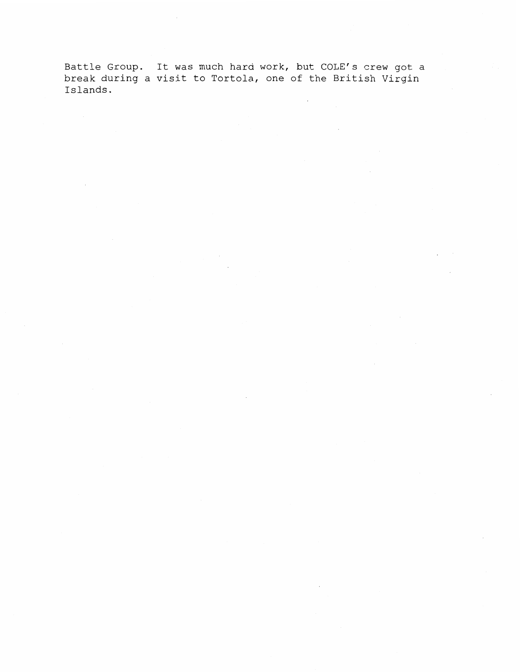Battle Group. It was much hard work, but COLE's crew got a break during a visit to Tortola, one of the British Virgin Islands.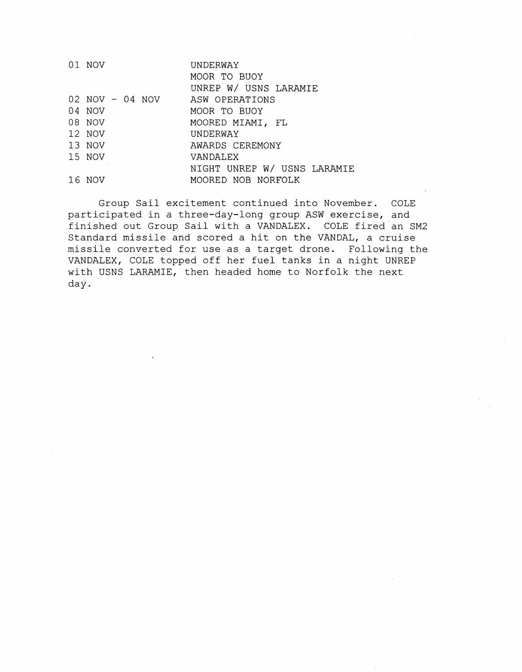| 01 NOV          | UNDERWAY                    |
|-----------------|-----------------------------|
|                 | MOOR TO BUOY                |
|                 | UNREP W/ USNS LARAMIE       |
| 02 NOV - 04 NOV | ASW OPERATIONS              |
| 04 NOV          | MOOR TO BUOY                |
| 08 NOV          | MOORED MIAMI, FL            |
| 12 NOV          | UNDERWAY                    |
| 13 NOV          | AWARDS CEREMONY             |
| 15 NOV          | VANDALEX                    |
|                 | NIGHT UNREP W/ USNS LARAMIE |
| 16 NOV          | MOORED NOB NORFOLK          |

Group Sail excitement continued into November. COLE participated in a three-day-long group ASW exercise, and finished out Group Sail with a VANDALEX. COLE fired an SM2 Standard missile and scored a hit on the VANDAL, a cruise missile converted for use as a target drone. Following the VANDALEX, COLE topped off her fuel tanks in a night UNREP with USNS LARAMIE, then headed home to Norfolk the next day.